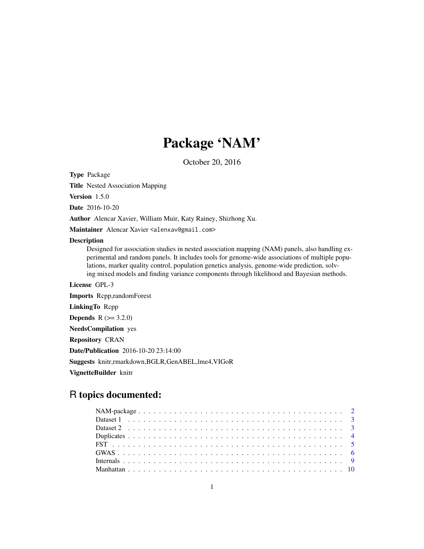## Package 'NAM'

October 20, 2016

Type Package

Title Nested Association Mapping

Version 1.5.0

Date 2016-10-20

Author Alencar Xavier, William Muir, Katy Rainey, Shizhong Xu.

Maintainer Alencar Xavier <alenxav@gmail.com>

#### Description

Designed for association studies in nested association mapping (NAM) panels, also handling experimental and random panels. It includes tools for genome-wide associations of multiple populations, marker quality control, population genetics analysis, genome-wide prediction, solving mixed models and finding variance components through likelihood and Bayesian methods.

License GPL-3

Imports Rcpp,randomForest LinkingTo Rcpp **Depends** R  $(>= 3.2.0)$ NeedsCompilation yes Repository CRAN Date/Publication 2016-10-20 23:14:00 Suggests knitr,rmarkdown,BGLR,GenABEL,lme4,VIGoR VignetteBuilder knitr

## R topics documented: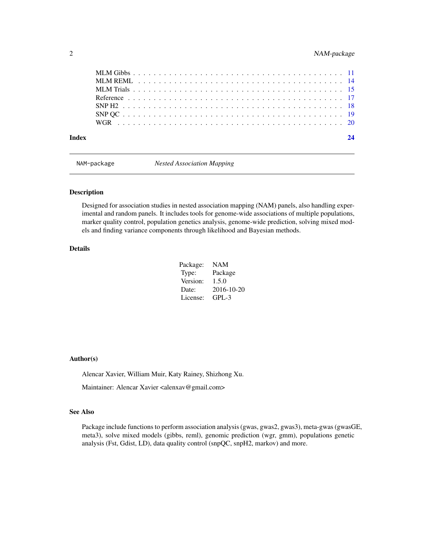#### <span id="page-1-0"></span>2 NAM-package

| Index |  |
|-------|--|
|       |  |
|       |  |
|       |  |
|       |  |
|       |  |
|       |  |
|       |  |

NAM-package *Nested Association Mapping*

#### Description

Designed for association studies in nested association mapping (NAM) panels, also handling experimental and random panels. It includes tools for genome-wide associations of multiple populations, marker quality control, population genetics analysis, genome-wide prediction, solving mixed models and finding variance components through likelihood and Bayesian methods.

#### Details

| Package: | <b>NAM</b> |
|----------|------------|
| Type:    | Package    |
| Version: | 1.5.0      |
| Date:    | 2016-10-20 |
| License: | $GPI - 3$  |

#### Author(s)

Alencar Xavier, William Muir, Katy Rainey, Shizhong Xu.

Maintainer: Alencar Xavier <alenxav@gmail.com>

#### See Also

Package include functions to perform association analysis (gwas, gwas2, gwas3), meta-gwas (gwasGE, meta3), solve mixed models (gibbs, reml), genomic prediction (wgr, gmm), populations genetic analysis (Fst, Gdist, LD), data quality control (snpQC, snpH2, markov) and more.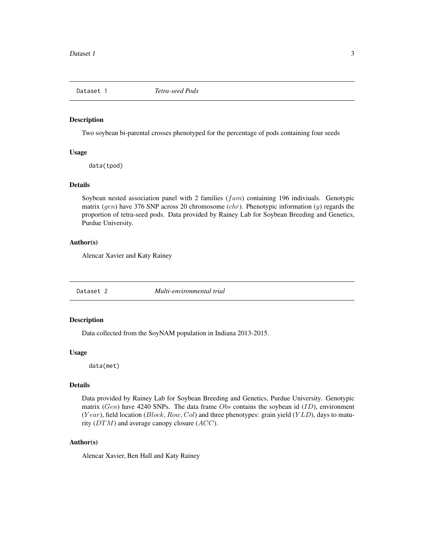<span id="page-2-0"></span>

Two soybean bi-parental crosses phenotyped for the percentage of pods containing four seeds

#### Usage

data(tpod)

#### Details

Soybean nested association panel with 2 families  $(fam)$  containing 196 indiviuals. Genotypic matrix (gen) have 376 SNP across 20 chromosome (chr). Phenotypic information (y) regards the proportion of tetra-seed pods. Data provided by Rainey Lab for Soybean Breeding and Genetics, Purdue University.

#### Author(s)

Alencar Xavier and Katy Rainey

Dataset 2 *Multi-environmental trial*

#### Description

Data collected from the SoyNAM population in Indiana 2013-2015.

#### Usage

data(met)

#### Details

Data provided by Rainey Lab for Soybean Breeding and Genetics, Purdue University. Genotypic matrix (Gen) have 4240 SNPs. The data frame Obs contains the soybean id  $(1D)$ , environment  $(Year)$ , field location (*Block, Row, Col*) and three phenotypes: grain yield ( $YLD$ ), days to maturity  $(DTM)$  and average canopy closure  $(ACC)$ .

#### Author(s)

Alencar Xavier, Ben Hall and Katy Rainey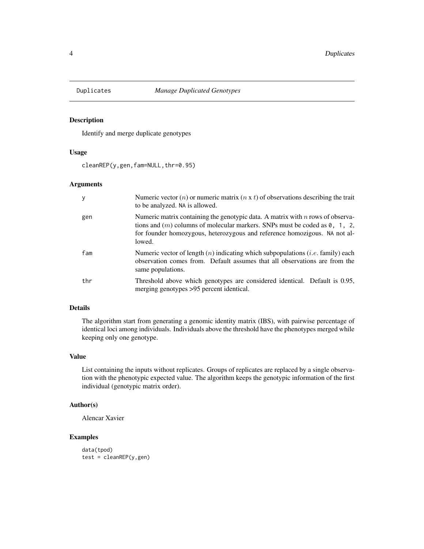<span id="page-3-0"></span>

Identify and merge duplicate genotypes

#### Usage

cleanREP(y,gen,fam=NULL,thr=0.95)

#### Arguments

|     | Numeric vector ( <i>n</i> ) or numeric matrix ( <i>n</i> x <i>t</i> ) of observations describing the trait<br>to be analyzed. NA is allowed.                                                                                                            |
|-----|---------------------------------------------------------------------------------------------------------------------------------------------------------------------------------------------------------------------------------------------------------|
| gen | Numeric matrix containing the genotypic data. A matrix with $n$ rows of observa-<br>tions and $(m)$ columns of molecular markers. SNPs must be coded as 0, 1, 2,<br>for founder homozygous, heterozygous and reference homozigous. NA not al-<br>lowed. |
| fam | Numeric vector of length $(n)$ indicating which subpopulations ( <i>i.e.</i> family) each<br>observation comes from. Default assumes that all observations are from the<br>same populations.                                                            |
| thr | Threshold above which genotypes are considered identical. Default is 0.95,<br>merging genotypes >95 percent identical.                                                                                                                                  |

#### Details

The algorithm start from generating a genomic identity matrix (IBS), with pairwise percentage of identical loci among individuals. Individuals above the threshold have the phenotypes merged while keeping only one genotype.

#### Value

List containing the inputs without replicates. Groups of replicates are replaced by a single observation with the phenotypic expected value. The algorithm keeps the genotypic information of the first individual (genotypic matrix order).

#### Author(s)

Alencar Xavier

#### Examples

```
data(tpod)
test = cleanREP(y,gen)
```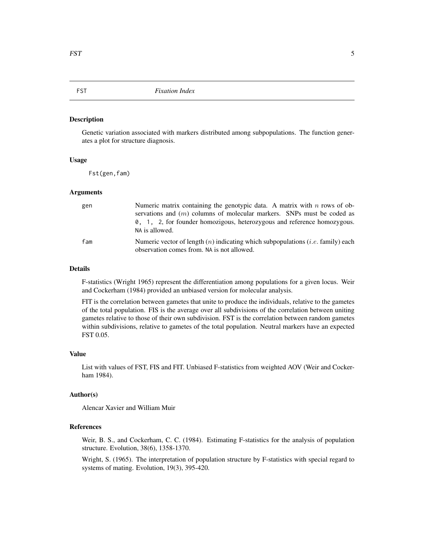<span id="page-4-0"></span>Genetic variation associated with markers distributed among subpopulations. The function generates a plot for structure diagnosis.

#### Usage

Fst(gen,fam)

#### Arguments

| gen | Numeric matrix containing the genotypic data. A matrix with $n$ rows of ob-<br>servations and $(m)$ columns of molecular markers. SNPs must be coded as<br>0, 1, 2, for founder homozigous, heterozygous and reference homozygous.<br>NA is allowed. |
|-----|------------------------------------------------------------------------------------------------------------------------------------------------------------------------------------------------------------------------------------------------------|
| fam | Numeric vector of length $(n)$ indicating which subpopulations ( <i>i.e.</i> family) each<br>observation comes from. NA is not allowed.                                                                                                              |

#### Details

F-statistics (Wright 1965) represent the differentiation among populations for a given locus. Weir and Cockerham (1984) provided an unbiased version for molecular analysis.

FIT is the correlation between gametes that unite to produce the individuals, relative to the gametes of the total population. FIS is the average over all subdivisions of the correlation between uniting gametes relative to those of their own subdivision. FST is the correlation between random gametes within subdivisions, relative to gametes of the total population. Neutral markers have an expected FST 0.05.

#### Value

List with values of FST, FIS and FIT. Unbiased F-statistics from weighted AOV (Weir and Cockerham 1984).

#### Author(s)

Alencar Xavier and William Muir

#### References

Weir, B. S., and Cockerham, C. C. (1984). Estimating F-statistics for the analysis of population structure. Evolution, 38(6), 1358-1370.

Wright, S. (1965). The interpretation of population structure by F-statistics with special regard to systems of mating. Evolution, 19(3), 395-420.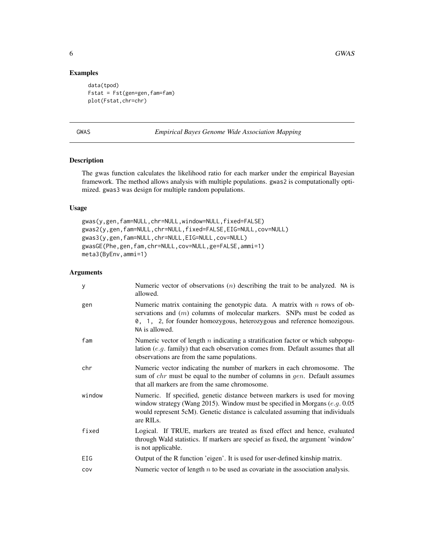#### Examples

```
data(tpod)
Fstat = Fst(gen=gen,fam=fam)
plot(Fstat,chr=chr)
```
GWAS *Empirical Bayes Genome Wide Association Mapping*

#### Description

The gwas function calculates the likelihood ratio for each marker under the empirical Bayesian framework. The method allows analysis with multiple populations. gwas2 is computationally optimized. gwas3 was design for multiple random populations.

#### Usage

```
gwas(y,gen,fam=NULL,chr=NULL,window=NULL,fixed=FALSE)
gwas2(y,gen,fam=NULL,chr=NULL,fixed=FALSE,EIG=NULL,cov=NULL)
gwas3(y,gen,fam=NULL,chr=NULL,EIG=NULL,cov=NULL)
gwasGE(Phe,gen,fam,chr=NULL,cov=NULL,ge=FALSE,ammi=1)
meta3(ByEnv,ammi=1)
```

| У      | Numeric vector of observations $(n)$ describing the trait to be analyzed. NA is<br>allowed.                                                                                                                                                                |
|--------|------------------------------------------------------------------------------------------------------------------------------------------------------------------------------------------------------------------------------------------------------------|
| gen    | Numeric matrix containing the genotypic data. A matrix with $n$ rows of ob-<br>servations and $(m)$ columns of molecular markers. SNPs must be coded as<br>0, 1, 2, for founder homozygous, heterozygous and reference homozigous.<br>NA is allowed.       |
| fam    | Numeric vector of length $n$ indicating a stratification factor or which subpopu-<br>lation (e.g. family) that each observation comes from. Default assumes that all<br>observations are from the same populations.                                        |
| chr    | Numeric vector indicating the number of markers in each chromosome. The<br>sum of <i>chr</i> must be equal to the number of columns in <i>gen</i> . Default assumes<br>that all markers are from the same chromosome.                                      |
| window | Numeric. If specified, genetic distance between markers is used for moving<br>window strategy (Wang 2015). Window must be specified in Morgans $(e.g. 0.05$<br>would represent 5cM). Genetic distance is calculated assuming that individuals<br>are RILs. |
| fixed  | Logical. If TRUE, markers are treated as fixed effect and hence, evaluated<br>through Wald statistics. If markers are specief as fixed, the argument 'window'<br>is not applicable.                                                                        |
| EIG    | Output of the R function 'eigen'. It is used for user-defined kinship matrix.                                                                                                                                                                              |
| COV    | Numeric vector of length $n$ to be used as covariate in the association analysis.                                                                                                                                                                          |

<span id="page-5-0"></span>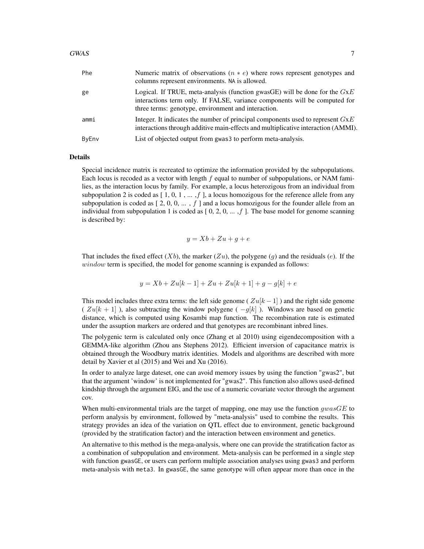| Phe   | Numeric matrix of observations $(n * e)$ where rows represent genotypes and<br>columns represent environments. NA is allowed.                                                                                     |
|-------|-------------------------------------------------------------------------------------------------------------------------------------------------------------------------------------------------------------------|
| ge    | Logical. If TRUE, meta-analysis (function gwasGE) will be done for the $GxE$<br>interactions term only. If FALSE, variance components will be computed for<br>three terms: genotype, environment and interaction. |
| ammi  | Integer. It indicates the number of principal components used to represent $G \times E$<br>interactions through additive main-effects and multiplicative interaction (AMMI).                                      |
| ByEnv | List of objected output from gwas 3 to perform meta-analysis.                                                                                                                                                     |

#### Details

Special incidence matrix is recreated to optimize the information provided by the subpopulations. Each locus is recoded as a vector with length  $f$  equal to number of subpopulations, or NAM families, as the interaction locus by family. For example, a locus heterozigous from an individual from subpopulation 2 is coded as  $[1, 0, 1, \dots, f]$ , a locus homozigous for the reference allele from any subpopulation is coded as  $[2, 0, 0, \dots, f]$  and a locus homozigous for the founder allele from an individual from subpopulation 1 is coded as  $[0, 2, 0, \ldots, f]$ . The base model for genome scanning is described by:

$$
y = Xb + Zu + g + e
$$

That includes the fixed effect  $(Xb)$ , the marker  $(Zu)$ , the polygene  $(q)$  and the residuals  $(e)$ . If the window term is specified, the model for genome scanning is expanded as follows:

$$
y = Xb + Zu[k - 1] + Zu + Zu[k + 1] + g - g[k] + e
$$

This model includes three extra terms: the left side genome ( $Zu[k-1]$ ) and the right side genome (  $Zu[k+1]$ ), also subtracting the window polygene (  $-q[k]$ ). Windows are based on genetic distance, which is computed using Kosambi map function. The recombination rate is estimated under the assuption markers are ordered and that genotypes are recombinant inbred lines.

The polygenic term is calculated only once (Zhang et al 2010) using eigendecomposition with a GEMMA-like algorithm (Zhou ans Stephens 2012). Efficient inversion of capacitance matrix is obtained through the Woodbury matrix identities. Models and algorithms are described with more detail by Xavier et al (2015) and Wei and Xu (2016).

In order to analyze large dateset, one can avoid memory issues by using the function "gwas2", but that the argument 'window' is not implemented for "gwas2". This function also allows used-defined kindship through the argument EIG, and the use of a numeric covariate vector through the argument cov.

When multi-environmental trials are the target of mapping, one may use the function  $gwasGE$  to perform analysis by environment, followed by "meta-analysis" used to combine the results. This strategy provides an idea of the variation on QTL effect due to environment, genetic background (provided by the stratification factor) and the interaction between environment and genetics.

An alternative to this method is the mega-analysis, where one can provide the stratification factor as a combination of subpopulation and environment. Meta-analysis can be performed in a single step with function gwasGE, or users can perform multiple association analyses using gwas3 and perform meta-analysis with meta3. In gwasGE, the same genotype will often appear more than once in the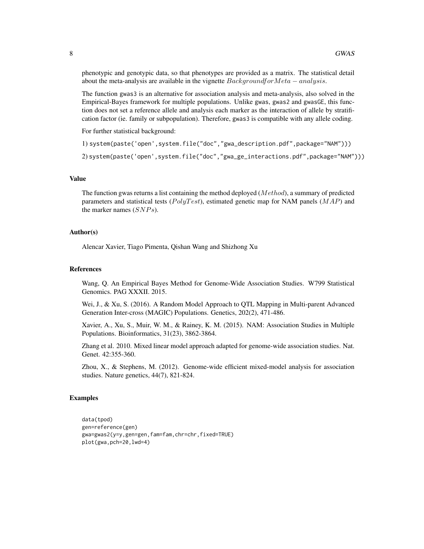phenotypic and genotypic data, so that phenotypes are provided as a matrix. The statistical detail about the meta-analysis are available in the vignette  $Backaround for Meta-analysis$ .

The function gwas3 is an alternative for association analysis and meta-analysis, also solved in the Empirical-Bayes framework for multiple populations. Unlike gwas, gwas2 and gwasGE, this function does not set a reference allele and analysis each marker as the interaction of allele by stratification factor (ie. family or subpopulation). Therefore, gwas3 is compatible with any allele coding.

For further statistical background:

1) system(paste('open',system.file("doc","gwa\_description.pdf",package="NAM")))

2) system(paste('open',system.file("doc","gwa\_ge\_interactions.pdf",package="NAM")))

#### Value

The function gwas returns a list containing the method deployed  $(Method)$ , a summary of predicted parameters and statistical tests ( $PolyTest$ ), estimated genetic map for NAM panels ( $MAP$ ) and the marker names  $(SNPs)$ .

#### Author(s)

Alencar Xavier, Tiago Pimenta, Qishan Wang and Shizhong Xu

#### References

Wang, Q. An Empirical Bayes Method for Genome-Wide Association Studies. W799 Statistical Genomics. PAG XXXII. 2015.

Wei, J., & Xu, S. (2016). A Random Model Approach to QTL Mapping in Multi-parent Advanced Generation Inter-cross (MAGIC) Populations. Genetics, 202(2), 471-486.

Xavier, A., Xu, S., Muir, W. M., & Rainey, K. M. (2015). NAM: Association Studies in Multiple Populations. Bioinformatics, 31(23), 3862-3864.

Zhang et al. 2010. Mixed linear model approach adapted for genome-wide association studies. Nat. Genet. 42:355-360.

Zhou, X., & Stephens, M. (2012). Genome-wide efficient mixed-model analysis for association studies. Nature genetics, 44(7), 821-824.

#### Examples

```
data(tpod)
gen=reference(gen)
gwa=gwas2(y=y,gen=gen,fam=fam,chr=chr,fixed=TRUE)
plot(gwa,pch=20,lwd=4)
```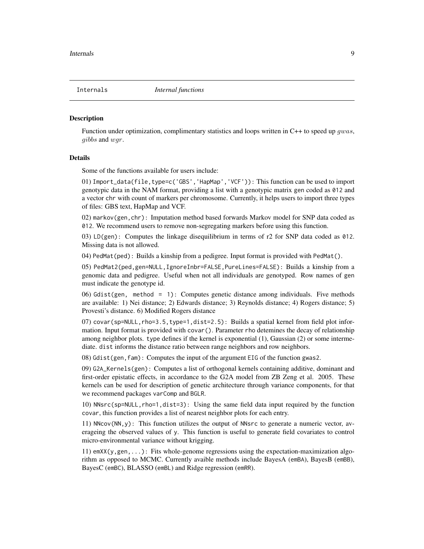<span id="page-8-0"></span>

Function under optimization, complimentary statistics and loops written in  $C++$  to speed up *gwas*, gibbs and wgr.

#### Details

Some of the functions available for users include:

01) Import\_data(file,type=c('GBS','HapMap','VCF')): This function can be used to import genotypic data in the NAM format, providing a list with a genotypic matrix gen coded as 012 and a vector chr with count of markers per chromosome. Currently, it helps users to import three types of files: GBS text, HapMap and VCF.

02) markov(gen,chr): Imputation method based forwards Markov model for SNP data coded as 012. We recommend users to remove non-segregating markers before using this function.

03) LD(gen): Computes the linkage disequilibrium in terms of r2 for SNP data coded as 012. Missing data is not allowed.

04) PedMat(ped): Builds a kinship from a pedigree. Input format is provided with PedMat().

05) PedMat2(ped,gen=NULL,IgnoreInbr=FALSE,PureLines=FALSE): Builds a kinship from a genomic data and pedigree. Useful when not all individuals are genotyped. Row names of gen must indicate the genotype id.

06) Gdist(gen, method = 1): Computes genetic distance among individuals. Five methods are available: 1) Nei distance; 2) Edwards distance; 3) Reynolds distance; 4) Rogers distance; 5) Provesti's distance. 6) Modified Rogers distance

 $07$ ) covar(sp=NULL, rho=3.5, type=1,dist=2.5): Builds a spatial kernel from field plot information. Input format is provided with covar(). Parameter rho detemines the decay of relationship among neighbor plots. type defines if the kernel is exponential (1), Gaussian (2) or some intermediate. dist informs the distance ratio between range neighbors and row neighbors.

08) Gdist(gen,fam): Computes the input of the argument EIG of the function gwas2.

09) G2A\_Kernels(gen): Computes a list of orthogonal kernels containing additive, dominant and first-order epistatic effects, in accordance to the G2A model from ZB Zeng et al. 2005. These kernels can be used for description of genetic architecture through variance components, for that we recommend packages varComp and BGLR.

10) NNsrc(sp=NULL, rho=1, dist=3): Using the same field data input required by the function covar, this function provides a list of nearest neighbor plots for each entry.

11) NNcov(NN,y): This function utilizes the output of NNsrc to generate a numeric vector, averageing the observed values of y. This function is useful to generate field covariates to control micro-environmental variance without krigging.

11)  $emXX(y,gen,...):$  Fits whole-genome regressions using the expectation-maximization algorithm as opposed to MCMC. Currently avaible methods include BayesA (emBA), BayesB (emBB), BayesC (emBC), BLASSO (emBL) and Ridge regression (emRR).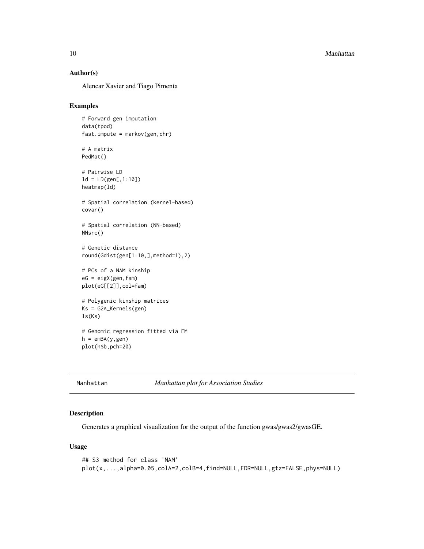<span id="page-9-0"></span>10 Manhattan and the Manhattan and the Manhattan and the Manhattan and the Manhattan and the Manhattan and the Manhattan and the Manhattan and the Manhattan and the Manhattan and the Manhattan and the Manhattan and the Man

#### Author(s)

Alencar Xavier and Tiago Pimenta

#### Examples

```
# Forward gen imputation
data(tpod)
fast.impute = markov(gen,chr)
# A matrix
PedMat()
# Pairwise LD
ld = LD(gen[, 1:10])heatmap(ld)
# Spatial correlation (kernel-based)
covar()
# Spatial correlation (NN-based)
NNsrc()
# Genetic distance
round(Gdist(gen[1:10,],method=1),2)
# PCs of a NAM kinship
eG = eigX(gen,fam)
plot(eG[[2]],col=fam)
# Polygenic kinship matrices
Ks = G2A_Kernels(gen)
ls(Ks)
# Genomic regression fitted via EM
h = emBA(y,gen)plot(h$b,pch=20)
```
Manhattan *Manhattan plot for Association Studies*

#### Description

Generates a graphical visualization for the output of the function gwas/gwas2/gwasGE.

#### Usage

```
## S3 method for class 'NAM'
plot(x,...,alpha=0.05,colA=2,colB=4,find=NULL,FDR=NULL,gtz=FALSE,phys=NULL)
```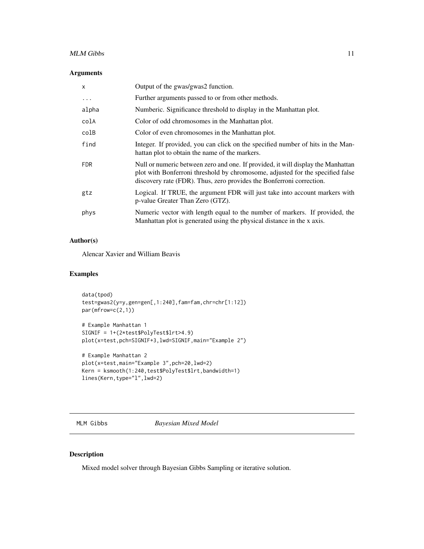#### <span id="page-10-0"></span>MLM Gibbs 11

#### Arguments

| $\mathsf{x}$ | Output of the gwas/gwas2 function.                                                                                                                                                                                                         |
|--------------|--------------------------------------------------------------------------------------------------------------------------------------------------------------------------------------------------------------------------------------------|
| $\cdots$     | Further arguments passed to or from other methods.                                                                                                                                                                                         |
| alpha        | Numberic. Significance threshold to display in the Manhattan plot.                                                                                                                                                                         |
| colA         | Color of odd chromosomes in the Manhattan plot.                                                                                                                                                                                            |
| colB         | Color of even chromosomes in the Manhattan plot.                                                                                                                                                                                           |
| find         | Integer. If provided, you can click on the specified number of hits in the Man-<br>hattan plot to obtain the name of the markers.                                                                                                          |
| <b>FDR</b>   | Null or numeric between zero and one. If provided, it will display the Manhattan<br>plot with Bonferroni threshold by chromosome, adjusted for the specified false<br>discovery rate (FDR). Thus, zero provides the Bonferroni correction. |
| gtz          | Logical. If TRUE, the argument FDR will just take into account markers with<br>p-value Greater Than Zero (GTZ).                                                                                                                            |
| phys         | Numeric vector with length equal to the number of markers. If provided, the<br>Manhattan plot is generated using the physical distance in the x axis.                                                                                      |

#### Author(s)

Alencar Xavier and William Beavis

#### Examples

```
data(tpod)
test=gwas2(y=y,gen=gen[,1:240],fam=fam,chr=chr[1:12])
par(mfrow=c(2,1))
```

```
# Example Manhattan 1
SIGNIF = 1+(2*test$PolyTest$lrt>4.9)
plot(x=test,pch=SIGNIF+3,lwd=SIGNIF,main="Example 2")
```

```
# Example Manhattan 2
plot(x=test,main="Example 3",pch=20,lwd=2)
Kern = ksmooth(1:240,test$PolyTest$lrt,bandwidth=1)
lines(Kern,type="l",lwd=2)
```
MLM Gibbs *Bayesian Mixed Model*

### Description

Mixed model solver through Bayesian Gibbs Sampling or iterative solution.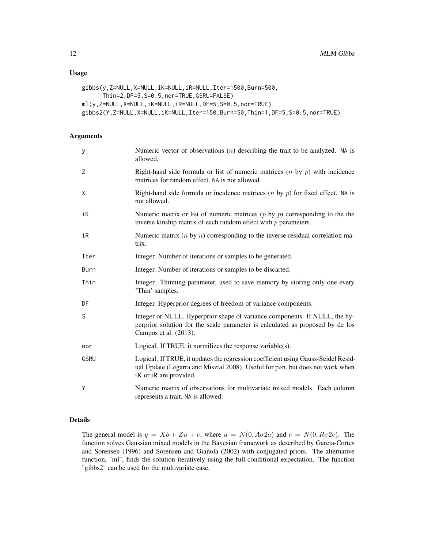#### Usage

```
gibbs(y,Z=NULL,X=NULL,iK=NULL,iR=NULL,Iter=1500,Burn=500,
      Thin=2,DF=5,S=0.5,nor=TRUE,GSRU=FALSE)
ml(y,Z=NULL,X=NULL,iK=NULL,iR=NULL,DF=5,S=0.5,nor=TRUE)
gibbs2(Y,Z=NULL,X=NULL,iK=NULL,Iter=150,Burn=50,Thin=1,DF=5,S=0.5,nor=TRUE)
```
#### Arguments

| У           | Numeric vector of observations $(n)$ describing the trait to be analyzed. NA is<br>allowed.                                                                                                  |
|-------------|----------------------------------------------------------------------------------------------------------------------------------------------------------------------------------------------|
| Ζ           | Right-hand side formula or list of numeric matrices $(n \text{ by } p)$ with incidence<br>matrices for random effect. NA is not allowed.                                                     |
| χ           | Right-hand side formula or incidence matrices $(n \text{ by } p)$ for fixed effect. NA is<br>not allowed.                                                                                    |
| iK          | Numeric matrix or list of numeric matrices $(p \text{ by } p)$ corresponding to the the<br>inverse kinship matrix of each random effect with $p$ parameters.                                 |
| iR          | Numeric matrix $(n \text{ by } n)$ corresponding to the inverse residual correlation ma-<br>trix.                                                                                            |
| Iter        | Integer. Number of iterations or samples to be generated.                                                                                                                                    |
| Burn        | Integer. Number of iterations or samples to be discarted.                                                                                                                                    |
| Thin        | Integer. Thinning parameter, used to save memory by storing only one every<br>'Thin' samples.                                                                                                |
| DF          | Integer. Hyperprior degrees of freedom of variance components.                                                                                                                               |
| S           | Integer or NULL. Hyperprior shape of variance components. If NULL, the hy-<br>perprior solution for the scale parameter is calculated as proposed by de los<br>Campos et al. (2013).         |
| nor         | Logical. If TRUE, it normilizes the response variable(s).                                                                                                                                    |
| <b>GSRU</b> | Logical. If TRUE, it updates the regression coefficient using Gauss-Seidel Resid-<br>ual Update (Legarra and Misztal 2008). Useful for p»n, but does not work when<br>iK or iR are provided. |
| Υ           | Numeric matrix of observations for multivariate mixed models. Each column<br>represents a trait. NA is allowed.                                                                              |

#### Details

The general model is  $y = Xb + Zu + e$ , where  $u = N(0, A\sigma 2a)$  and  $e = N(0, R\sigma 2e)$ . The function solves Gaussian mixed models in the Bayesian framework as described by Garcia-Cortes and Sorensen (1996) and Sorensen and Gianola (2002) with conjugated priors. The alternative function, "ml", finds the solution iteratively using the full-conditional expectation. The function "gibbs2" can be used for the multivariate case.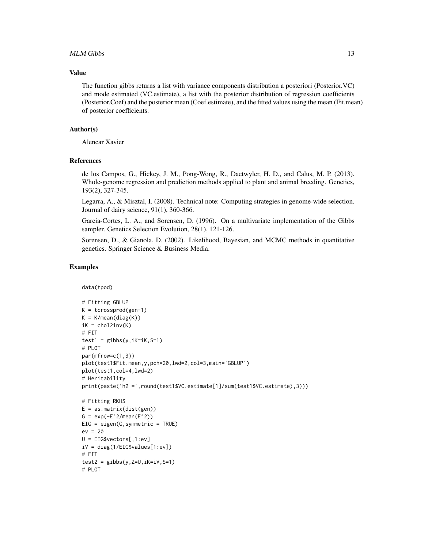#### $MLM$  Gibbs  $13$

#### Value

The function gibbs returns a list with variance components distribution a posteriori (Posterior.VC) and mode estimated (VC.estimate), a list with the posterior distribution of regression coefficients (Posterior.Coef) and the posterior mean (Coef.estimate), and the fitted values using the mean (Fit.mean) of posterior coefficients.

#### Author(s)

Alencar Xavier

#### References

de los Campos, G., Hickey, J. M., Pong-Wong, R., Daetwyler, H. D., and Calus, M. P. (2013). Whole-genome regression and prediction methods applied to plant and animal breeding. Genetics, 193(2), 327-345.

Legarra, A., & Misztal, I. (2008). Technical note: Computing strategies in genome-wide selection. Journal of dairy science, 91(1), 360-366.

Garcia-Cortes, L. A., and Sorensen, D. (1996). On a multivariate implementation of the Gibbs sampler. Genetics Selection Evolution, 28(1), 121-126.

Sorensen, D., & Gianola, D. (2002). Likelihood, Bayesian, and MCMC methods in quantitative genetics. Springer Science & Business Media.

#### Examples

data(tpod)

```
# Fitting GBLUP
K = tcrossprod(gen-1)K = K/mean(diag(K))iK = chol2inv(K)# FIT
test1 = gibbs(y, ik=iK, S=1)# PLOT
par(mfrow=c(1,3))
plot(test1$Fit.mean,y,pch=20,lwd=2,col=3,main='GBLUP')
plot(test1,col=4,lwd=2)
# Heritability
print(paste('h2 =',round(test1$VC.estimate[1]/sum(test1$VC.estimate),3)))
# Fitting RKHS
E = as_matrix(dist(gen))G = exp(-E^2/mean(E^2))EIG = eigen(G,symmetric = TRUE)
ev = 20
U = EIG$vectors[, 1:ev]iV = diag(1/EIG$values[1:ev])
# FIT
test2 = gibbs(y, Z=U, ik=iV, S=1)# PLOT
```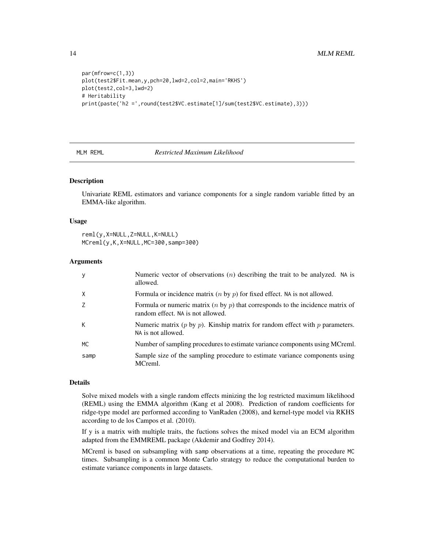```
par(mfrow=c(1,3))
plot(test2$Fit.mean,y,pch=20,lwd=2,col=2,main='RKHS')
plot(test2,col=3,lwd=2)
# Heritability
print(paste('h2 =',round(test2$VC.estimate[1]/sum(test2$VC.estimate),3)))
```
#### MLM REML *Restricted Maximum Likelihood*

#### Description

Univariate REML estimators and variance components for a single random variable fitted by an EMMA-like algorithm.

#### Usage

```
reml(y,X=NULL,Z=NULL,K=NULL)
MCreml(y,K,X=NULL,MC=300,samp=300)
```
#### Arguments

|      | Numeric vector of observations $(n)$ describing the trait to be analyzed. NA is<br>allowed.                                    |
|------|--------------------------------------------------------------------------------------------------------------------------------|
| X    | Formula or incidence matrix $(n \text{ by } p)$ for fixed effect. NA is not allowed.                                           |
|      | Formula or numeric matrix $(n \text{ by } p)$ that corresponds to the incidence matrix of<br>random effect. NA is not allowed. |
| К    | Numeric matrix $(p \text{ by } p)$ . Kinship matrix for random effect with p parameters.<br>NA is not allowed.                 |
| МC   | Number of sampling procedures to estimate variance components using MCreml.                                                    |
| samp | Sample size of the sampling procedure to estimate variance components using<br>MCreml.                                         |

#### Details

Solve mixed models with a single random effects minizing the log restricted maximum likelihood (REML) using the EMMA algorithm (Kang et al 2008). Prediction of random coefficients for ridge-type model are performed according to VanRaden (2008), and kernel-type model via RKHS according to de los Campos et al. (2010).

If y is a matrix with multiple traits, the fuctions solves the mixed model via an ECM algorithm adapted from the EMMREML package (Akdemir and Godfrey 2014).

MCreml is based on subsampling with samp observations at a time, repeating the procedure MC times. Subsampling is a common Monte Carlo strategy to reduce the computational burden to estimate variance components in large datasets.

<span id="page-13-0"></span>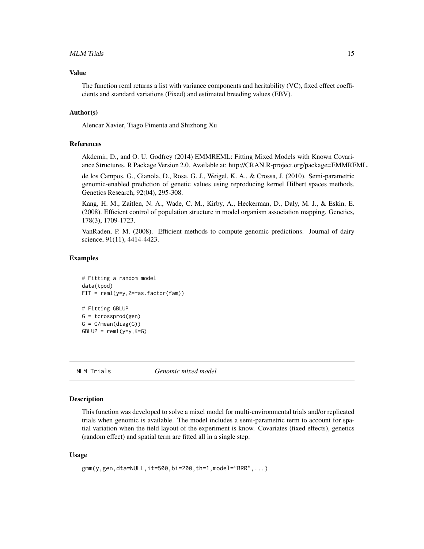#### <span id="page-14-0"></span>MLM Trials 15

#### Value

The function reml returns a list with variance components and heritability (VC), fixed effect coefficients and standard variations (Fixed) and estimated breeding values (EBV).

#### Author(s)

Alencar Xavier, Tiago Pimenta and Shizhong Xu

#### References

Akdemir, D., and O. U. Godfrey (2014) EMMREML: Fitting Mixed Models with Known Covariance Structures. R Package Version 2.0. Available at: http://CRAN.R-project.org/package=EMMREML.

de los Campos, G., Gianola, D., Rosa, G. J., Weigel, K. A., & Crossa, J. (2010). Semi-parametric genomic-enabled prediction of genetic values using reproducing kernel Hilbert spaces methods. Genetics Research, 92(04), 295-308.

Kang, H. M., Zaitlen, N. A., Wade, C. M., Kirby, A., Heckerman, D., Daly, M. J., & Eskin, E. (2008). Efficient control of population structure in model organism association mapping. Genetics, 178(3), 1709-1723.

VanRaden, P. M. (2008). Efficient methods to compute genomic predictions. Journal of dairy science, 91(11), 4414-4423.

#### Examples

```
# Fitting a random model
data(tpod)
FIT = reml(y=y, Z=~as.factor(fam))# Fitting GBLUP
G = tcrossprod(gen)
G = G/mean(diag(G))GBLUP = reml(y=y,K=G)
```
MLM Trials *Genomic mixed model*

#### Description

This function was developed to solve a mixel model for multi-environmental trials and/or replicated trials when genomic is available. The model includes a semi-parametric term to account for spatial variation when the field layout of the experiment is know. Covariates (fixed effects), genetics (random effect) and spatial term are fitted all in a single step.

#### Usage

```
gmm(y,gen,dta=NULL,it=500,bi=200,th=1,model="BRR",...)
```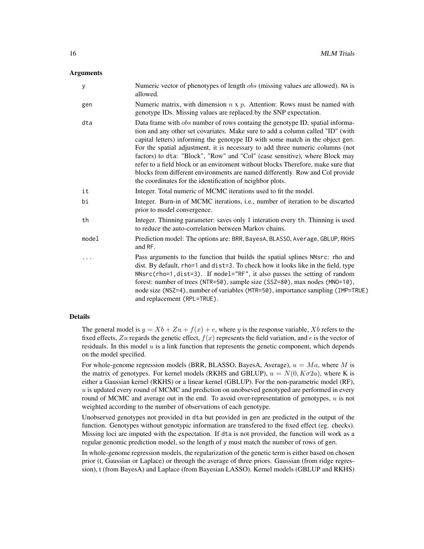#### Arguments

| У     | Numeric vector of phenotypes of length <i>obs</i> (missing values are allowed). NA is<br>allowed.                                                                                                                                                                                                                                                                                                                                                                                                                                                                                                                                                         |
|-------|-----------------------------------------------------------------------------------------------------------------------------------------------------------------------------------------------------------------------------------------------------------------------------------------------------------------------------------------------------------------------------------------------------------------------------------------------------------------------------------------------------------------------------------------------------------------------------------------------------------------------------------------------------------|
| gen   | Numeric matrix, with dimension $n \times p$ . Attention: Rows must be named with<br>genotype IDs. Missing values are replaced by the SNP expectation.                                                                                                                                                                                                                                                                                                                                                                                                                                                                                                     |
| dta   | Data frame with <i>obs</i> number of rows containg the genotype ID, spatial informa-<br>tion and any other set covariates. Make sure to add a column called "ID" (with<br>capital letters) informing the genotype ID with some match in the object gen.<br>For the spatial adjustment, it is necessary to add three numeric columns (not<br>factors) to dta: "Block", "Row" and "Col" (case sensitive), where Block may<br>refer to a field block or an enviroment without blocks Therefore, make sure that<br>blocks from different environments are named differently. Row and Col provide<br>the coordinates for the identification of neighbor plots. |
| it    | Integer. Total numeric of MCMC iterations used to fit the model.                                                                                                                                                                                                                                                                                                                                                                                                                                                                                                                                                                                          |
| bi    | Integer. Burn-in of MCMC iterations, i.e., number of iteration to be discarted<br>prior to model convergence.                                                                                                                                                                                                                                                                                                                                                                                                                                                                                                                                             |
| th    | Integer. Thinning parameter: saves only 1 interation every th. Thinning is used<br>to reduce the auto-correlation between Markov chains.                                                                                                                                                                                                                                                                                                                                                                                                                                                                                                                  |
| model | Prediction model: The options are: BRR, BayesA, BLASSO, Average, GBLUP, RKHS<br>and RF.                                                                                                                                                                                                                                                                                                                                                                                                                                                                                                                                                                   |
| .     | Pass arguments to the function that builds the spatial splines NNsrc: rho and<br>dist. By default, rho=1 and dist=3. To check how it looks like in the field, type<br>NNsrc(rho=1,dist=3). If model="RF", it also passes the setting of random<br>forest: number of trees (NTR=50), sample size (SSZ=80), max nodes (MNO=10),<br>node size (NSZ=4), number of variables (MTR=50), importance sampling (IMP=TRUE)<br>and replacement (RPL=TRUE).                                                                                                                                                                                                           |

#### Details

The general model is  $y = Xb + Zu + f(x) + e$ , where y is the response variable, Xb refers to the fixed effects, Zu regards the genetic effect,  $f(x)$  represents the field variation, and e is the vector of residuals. In this model  $u$  is a link function that represents the genetic component, which depends on the model specified.

For whole-genome regression models (BRR, BLASSO, BayesA, Average),  $u = Ma$ , where M is the matrix of genotypes. For kernel models (RKHS and GBLUP),  $u = N(0, K\sigma 2a)$ , where K is either a Gaussian kernel (RKHS) or a linear kernel (GBLUP). For the non-parametric model (RF),  $u$  is updated every round of MCMC and prediction on unobseved genotyped are performed in every round of MCMC and average out in the end. To avoid over-representation of genotypes,  $u$  is not weighted according to the number of observations of each genotype.

Unobserved genotypes not provided in dta but provided in gen are predicted in the output of the function. Genotypes without genotypic information are transfered to the fixed effect (eg. checks). Missing loci are imputed with the expectation. If dta is not provided, the function will work as a regular genomic prediction model, so the length of y must match the number of rows of gen.

In whole-genome regression models, the regularization of the genetic term is either based on chosen prior (t, Gaussian or Laplace) or through the average of three priors. Gaussian (from ridge regression), t (from BayesA) and Laplace (from Bayesian LASSO). Kernel models (GBLUP and RKHS)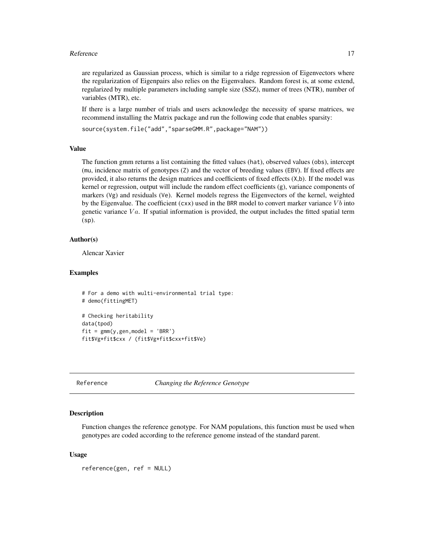#### <span id="page-16-0"></span>Reference 17

are regularized as Gaussian process, which is similar to a ridge regression of Eigenvectors where the regularization of Eigenpairs also relies on the Eigenvalues. Random forest is, at some extend, regularized by multiple parameters including sample size (SSZ), numer of trees (NTR), number of variables (MTR), etc.

If there is a large number of trials and users acknowledge the necessity of sparse matrices, we recommend installing the Matrix package and run the following code that enables sparsity:

```
source(system.file("add","sparseGMM.R",package="NAM"))
```
#### Value

The function gmm returns a list containing the fitted values (hat), observed values (obs), intercept (mu, incidence matrix of genotypes (Z) and the vector of breeding values (EBV). If fixed effects are provided, it also returns the design matrices and coefficients of fixed effects (X,b). If the model was kernel or regression, output will include the random effect coefficients (g), variance components of markers (Vg) and residuals (Ve). Kernel models regress the Eigenvectors of the kernel, weighted by the Eigenvalue. The coefficient (cxx) used in the BRR model to convert marker variance  $Vb$  into genetic variance  $Va$ . If spatial information is provided, the output includes the fitted spatial term (sp).

#### Author(s)

Alencar Xavier

#### Examples

```
# For a demo with wulti-environmental trial type:
# demo(fittingMET)
# Checking heritability
data(tpod)
fit = gmm(y,gen, model = 'BRR')fit$Vg*fit$cxx / (fit$Vg*fit$cxx+fit$Ve)
```
Reference *Changing the Reference Genotype*

#### Description

Function changes the reference genotype. For NAM populations, this function must be used when genotypes are coded according to the reference genome instead of the standard parent.

#### Usage

```
reference(gen, ref = NULL)
```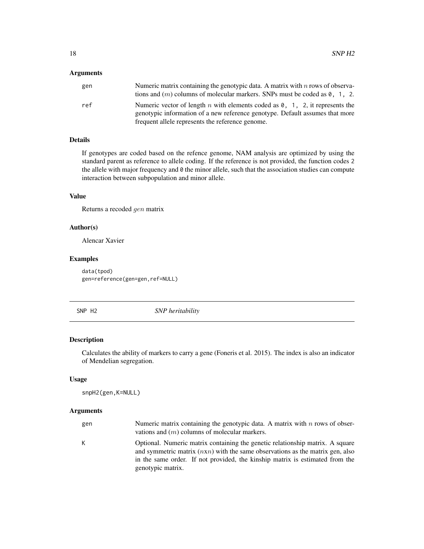#### <span id="page-17-0"></span>Arguments

| gen | Numeric matrix containing the genotypic data. A matrix with $n$ rows of observa-<br>tions and $(m)$ columns of molecular markers. SNPs must be coded as 0, 1, 2.     |
|-----|----------------------------------------------------------------------------------------------------------------------------------------------------------------------|
| ref | Numeric vector of length n with elements coded as $\theta$ , 1, 2, it represents the<br>genotypic information of a new reference genotype. Default assumes that more |
|     | frequent allele represents the reference genome.                                                                                                                     |

#### Details

If genotypes are coded based on the refence genome, NAM analysis are optimized by using the standard parent as reference to allele coding. If the reference is not provided, the function codes 2 the allele with major frequency and 0 the minor allele, such that the association studies can compute interaction between subpopulation and minor allele.

#### Value

Returns a recoded gen matrix

#### Author(s)

Alencar Xavier

#### Examples

data(tpod) gen=reference(gen=gen,ref=NULL)

SNP H2 *SNP heritability*

#### Description

Calculates the ability of markers to carry a gene (Foneris et al. 2015). The index is also an indicator of Mendelian segregation.

#### Usage

```
snpH2(gen,K=NULL)
```

| gen | Numeric matrix containing the genotypic data. A matrix with $n$ rows of obser-<br>vations and $(m)$ columns of molecular markers.                                                                                                                                     |
|-----|-----------------------------------------------------------------------------------------------------------------------------------------------------------------------------------------------------------------------------------------------------------------------|
| K   | Optional. Numeric matrix containing the genetic relationship matrix. A square<br>and symmetric matrix $(nxn)$ with the same observations as the matrix gen, also<br>in the same order. If not provided, the kinship matrix is estimated from the<br>genotypic matrix. |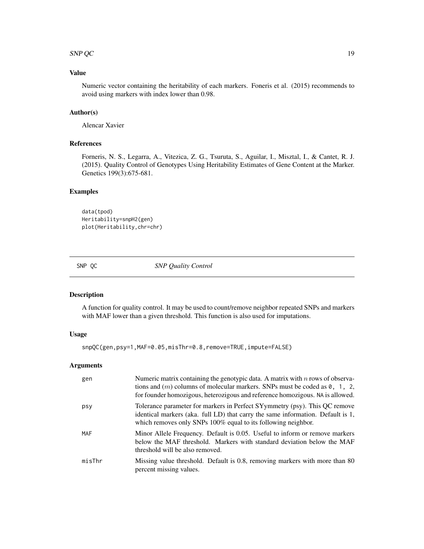#### <span id="page-18-0"></span> $SNP QC$  19

#### Value

Numeric vector containing the heritability of each markers. Foneris et al. (2015) recommends to avoid using markers with index lower than 0.98.

#### Author(s)

Alencar Xavier

#### References

Forneris, N. S., Legarra, A., Vitezica, Z. G., Tsuruta, S., Aguilar, I., Misztal, I., & Cantet, R. J. (2015). Quality Control of Genotypes Using Heritability Estimates of Gene Content at the Marker. Genetics 199(3):675-681.

#### Examples

data(tpod) Heritability=snpH2(gen) plot(Heritability,chr=chr)

SNP QC *SNP Quality Control*

#### Description

A function for quality control. It may be used to count/remove neighbor repeated SNPs and markers with MAF lower than a given threshold. This function is also used for imputations.

#### Usage

snpQC(gen,psy=1,MAF=0.05,misThr=0.8,remove=TRUE,impute=FALSE)

| gen    | Numeric matrix containing the genotypic data. A matrix with $n$ rows of observa-<br>tions and $(m)$ columns of molecular markers. SNPs must be coded as $0, 1, 2, $<br>for founder homozigous, heterozigous and reference homozigous. NA is allowed. |
|--------|------------------------------------------------------------------------------------------------------------------------------------------------------------------------------------------------------------------------------------------------------|
| psy    | Tolerance parameter for markers in Perfect SYymmetry (psy). This QC remove<br>identical markers (aka. full LD) that carry the same information. Default is 1,<br>which removes only SNPs 100% equal to its following neighbor.                       |
| MAF    | Minor Allele Frequency. Default is 0.05. Useful to inform or remove markers<br>below the MAF threshold. Markers with standard deviation below the MAF<br>threshold will be also removed.                                                             |
| misThr | Missing value threshold. Default is 0.8, removing markers with more than 80<br>percent missing values.                                                                                                                                               |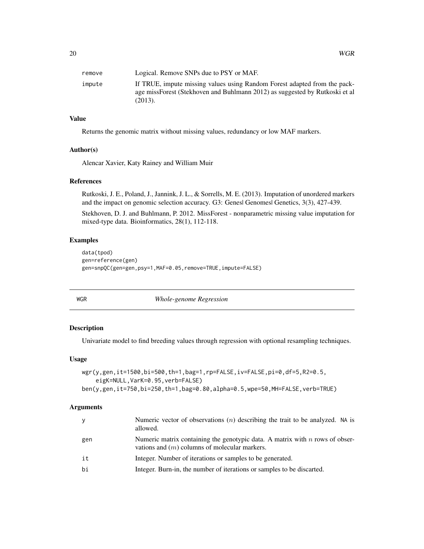<span id="page-19-0"></span>

| remove | Logical. Remove SNPs due to PSY or MAF.                                                                                                                             |
|--------|---------------------------------------------------------------------------------------------------------------------------------------------------------------------|
| impute | If TRUE, impute missing values using Random Forest adapted from the pack-<br>age missForest (Stekhoven and Buhlmann 2012) as suggested by Rutkoski et al<br>(2013). |

#### Value

Returns the genomic matrix without missing values, redundancy or low MAF markers.

#### Author(s)

Alencar Xavier, Katy Rainey and William Muir

#### References

Rutkoski, J. E., Poland, J., Jannink, J. L., & Sorrells, M. E. (2013). Imputation of unordered markers and the impact on genomic selection accuracy. G3: Genes| Genomes| Genetics, 3(3), 427-439.

Stekhoven, D. J. and Buhlmann, P. 2012. MissForest - nonparametric missing value imputation for mixed-type data. Bioinformatics, 28(1), 112-118.

#### Examples

```
data(tpod)
gen=reference(gen)
gen=snpQC(gen=gen,psy=1,MAF=0.05,remove=TRUE,impute=FALSE)
```
WGR *Whole-genome Regression*

#### Description

Univariate model to find breeding values through regression with optional resampling techniques.

#### Usage

```
wgr(y,gen,it=1500,bi=500,th=1,bag=1,rp=FALSE,iv=FALSE,pi=0,df=5,R2=0.5,
    eigK=NULL,VarK=0.95,verb=FALSE)
ben(y,gen,it=750,bi=250,th=1,bag=0.80,alpha=0.5,wpe=50,MH=FALSE,verb=TRUE)
```

| y   | Numeric vector of observations $(n)$ describing the trait to be analyzed. NA is<br>allowed.                                       |
|-----|-----------------------------------------------------------------------------------------------------------------------------------|
| gen | Numeric matrix containing the genotypic data. A matrix with $n$ rows of obser-<br>vations and $(m)$ columns of molecular markers. |
| it  | Integer. Number of iterations or samples to be generated.                                                                         |
| bi  | Integer. Burn-in, the number of iterations or samples to be discarted.                                                            |
|     |                                                                                                                                   |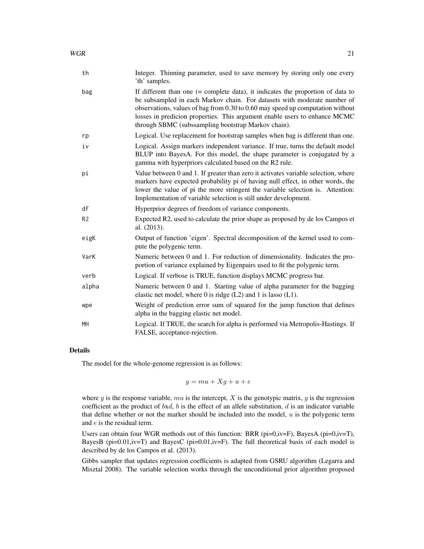| th             | Integer. Thinning parameter, used to save memory by storing only one every<br>'th' samples.                                                                                                                                                                                                                                                                                          |
|----------------|--------------------------------------------------------------------------------------------------------------------------------------------------------------------------------------------------------------------------------------------------------------------------------------------------------------------------------------------------------------------------------------|
| bag            | If different than one $(=$ complete data), it indicates the proportion of data to<br>be subsampled in each Markov chain. For datasets with moderate number of<br>observations, values of bag from 0.30 to 0.60 may speed up computation without<br>losses in predicion properties. This argument enable users to enhance MCMC<br>through SBMC (subssampling bootstrap Markov chain). |
| rp             | Logical. Use replacement for bootstrap samples when bag is different than one.                                                                                                                                                                                                                                                                                                       |
| iv             | Logical. Assign markers independent variance. If true, turns the default model<br>BLUP into BayesA. For this model, the shape parameter is conjugated by a<br>gamma with hyperpriors calculated based on the R2 rule.                                                                                                                                                                |
| рi             | Value between 0 and 1. If greater than zero it activates variable selection, where<br>markers have expected probability pi of having null effect, in other words, the<br>lower the value of pi the more stringent the variable selection is. Attention:<br>Implementation of variable selection is still under development.                                                          |
| df             | Hyperprior degrees of freedom of variance components.                                                                                                                                                                                                                                                                                                                                |
| R <sub>2</sub> | Expected R2, used to calculate the prior shape as proposed by de los Campos et<br>al. (2013).                                                                                                                                                                                                                                                                                        |
| eigK           | Output of function 'eigen'. Spectral decomposition of the kernel used to com-<br>pute the polygenic term.                                                                                                                                                                                                                                                                            |
| VarK           | Numeric between 0 and 1. For reduction of dimensionality. Indicates the pro-<br>portion of variance explained by Eigenpairs used to fit the polygenic term.                                                                                                                                                                                                                          |
| verb           | Logical. If verbose is TRUE, function displays MCMC progress bar.                                                                                                                                                                                                                                                                                                                    |
| alpha          | Numeric between 0 and 1. Starting value of alpha parameter for the bagging<br>elastic net model, where 0 is ridge $(L2)$ and 1 is lasso $(L1)$ .                                                                                                                                                                                                                                     |
| wpe            | Weight of prediction error sum of squared for the jump function that defines<br>alpha in the bagging elastic net model.                                                                                                                                                                                                                                                              |
| MH             | Logical. If TRUE, the search for alpha is performed via Metropolis-Hastings. If<br>FALSE, acceptance-rejection.                                                                                                                                                                                                                                                                      |

#### Details

The model for the whole-genome regression is as follows:

$$
y = mu + Xg + u + e
$$

where y is the response variable, mu is the intercept, X is the genotypic matrix,  $g$  is the regression coefficient as the product of bxd, b is the effect of an allele substitution, d is an indicator variable that define whether or not the marker should be included into the model,  $u$  is the polygenic term and e is the residual term.

Users can obtain four WGR methods out of this function: BRR ( $pi=0$ , $iv=F$ ), BayesA ( $pi=0$ , $iv=T$ ), BayesB (pi=0.01,iv=T) and BayesC (pi=0.01,iv=F). The full theoretical basis of each model is described by de los Campos et al. (2013).

Gibbs sampler that updates regression coefficients is adapted from GSRU algorithm (Legarra and Misztal 2008). The variable selection works through the unconditional prior algorithm proposed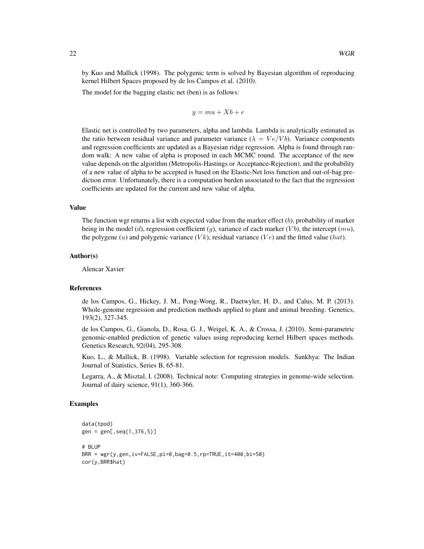by Kuo and Mallick (1998). The polygenic term is solved by Bayesian algorithm of reproducing kernel Hilbert Spaces proposed by de los Campos et al. (2010).

The model for the bagging elastic net (ben) is as follows:

 $y = mu + Xb + e$ 

Elastic net is controlled by two parameters, alpha and lambda. Lambda is analytically estimated as the ratio between residual variance and parameter variance ( $\lambda = Ve/Vb$ ). Variance components and regression coefficients are updated as a Bayesian ridge regression. Alpha is found through random walk: A new value of alpha is proposed in each MCMC round. The acceptance of the new value depends on the algorithm (Metropolis-Hastings or Acceptance-Rejection), and the probability of a new value of alpha to be accepted is based on the Elastic-Net loss function and out-of-bag prediction error. Unfortunately, there is a computation burden associated to the fact that the regression coefficients are updated for the current and new value of alpha.

#### Value

The function wgr returns a list with expected value from the marker effect  $(b)$ , probability of marker being in the model (d), regression coefficient (g), variance of each marker (Vb), the intercept (mu), the polygene (u) and polygenic variance ( $Vk$ ), residual variance ( $Ve$ ) and the fitted value (hat).

#### Author(s)

Alencar Xavier

#### References

de los Campos, G., Hickey, J. M., Pong-Wong, R., Daetwyler, H. D., and Calus, M. P. (2013). Whole-genome regression and prediction methods applied to plant and animal breeding. Genetics, 193(2), 327-345.

de los Campos, G., Gianola, D., Rosa, G. J., Weigel, K. A., & Crossa, J. (2010). Semi-parametric genomic-enabled prediction of genetic values using reproducing kernel Hilbert spaces methods. Genetics Research, 92(04), 295-308.

Kuo, L., & Mallick, B. (1998). Variable selection for regression models. Sankhya: The Indian Journal of Statistics, Series B, 65-81.

Legarra, A., & Misztal, I. (2008). Technical note: Computing strategies in genome-wide selection. Journal of dairy science, 91(1), 360-366.

#### Examples

```
data(tpod)
gen = gen[,seq(1,376,5)]
# BLUP
BRR = wgr(y,gen,iv=FALSE,pi=0,bag=0.5,rp=TRUE,it=400,bi=50)
cor(y,BRR$hat)
```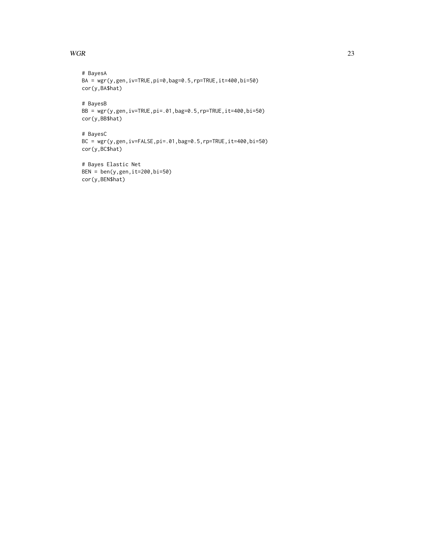#### $WGR$  23

```
# BayesA
BA = wgr(y,gen,iv=TRUE,pi=0,bag=0.5,rp=TRUE,it=400,bi=50)
cor(y,BA$hat)
# BayesB
BB = wgr(y,gen,iv=TRUE,pi=.01,bag=0.5,rp=TRUE,it=400,bi=50)
cor(y,BB$hat)
# BayesC
BC = wgr(y,gen,iv=FALSE,pi=.01,bag=0.5,rp=TRUE,it=400,bi=50)
cor(y,BC$hat)
```
# Bayes Elastic Net BEN =  $ben(y,gen,it=200,bi=50)$ cor(y,BEN\$hat)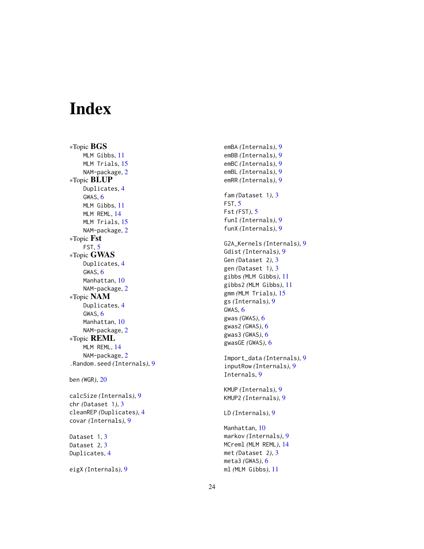# <span id="page-23-0"></span>Index

∗Topic BGS MLM Gibbs , [11](#page-10-0) MLM Trials, [15](#page-14-0) NAM-package, [2](#page-1-0) ∗Topic BLUP Duplicates , [4](#page-3-0) GWAS, [6](#page-5-0) MLM Gibbs , [11](#page-10-0) MLM REML, [14](#page-13-0) MLM Trials, [15](#page-14-0) NAM-package, [2](#page-1-0) ∗Topic Fst FST , [5](#page-4-0) ∗Topic GWAS Duplicates , [4](#page-3-0) GWAS, [6](#page-5-0) Manhattan , [10](#page-9-0) NAM-package, [2](#page-1-0) ∗Topic NAM Duplicates , [4](#page-3-0) GWAS, [6](#page-5-0) Manhattan , [10](#page-9-0) NAM-package, [2](#page-1-0) ∗Topic REML MLM REML, [14](#page-13-0) NAM-package, [2](#page-1-0) .Random.seed *(*Internals *)* , [9](#page-8-0) ben *(*WGR *)* , [20](#page-19-0)

calcSize *(*Internals *)* , [9](#page-8-0) chr *(*Dataset 1 *)* , [3](#page-2-0) cleanREP *(*Duplicates *)* , [4](#page-3-0) covar *(*Internals *)* , [9](#page-8-0)

Dataset 1,[3](#page-2-0) Dataset 2, [3](#page-2-0) Duplicates, [4](#page-3-0)

eigX *(*Internals *)* , [9](#page-8-0)

emBA *(*Internals *)* , [9](#page-8-0) emBB *(*Internals *)* , [9](#page-8-0) emBC *(*Internals *)* , [9](#page-8-0) emBL *(*Internals *)* , [9](#page-8-0) emRR *(*Internals *)* , [9](#page-8-0) fam *(*Dataset 1 *)* , [3](#page-2-0) FST , [5](#page-4-0) Fst *(*FST *)* , [5](#page-4-0) funI *(*Internals *)* , [9](#page-8-0) funX *(*Internals *)* , [9](#page-8-0) G2A\_Kernels *(*Internals *)* , [9](#page-8-0) Gdist *(*Internals *)* , [9](#page-8-0) Gen *(*Dataset 2 *)* , [3](#page-2-0) gen *(*Dataset 1 *)* , [3](#page-2-0) gibbs *(*MLM Gibbs *)* , [11](#page-10-0) gibbs2 *(*MLM Gibbs *)* , [11](#page-10-0) gmm *(*MLM Trials *)* , [15](#page-14-0) gs *(*Internals *)* , [9](#page-8-0) GWAS,  $6$ gwas *(*GWAS *)* , [6](#page-5-0) gwas2 *(*GWAS *)* , [6](#page-5-0) gwas3 *(*GWAS *)* , [6](#page-5-0) gwasGE *(*GWAS *)* , [6](#page-5-0) Import\_data *(*Internals *)* , [9](#page-8-0) inputRow *(*Internals *)* , [9](#page-8-0) Internals , [9](#page-8-0) KMUP *(*Internals *)* , [9](#page-8-0) KMUP2 *(*Internals *)* , [9](#page-8-0) LD *(*Internals *)* , [9](#page-8-0) Manhattan, [10](#page-9-0) markov *(*Internals *)* , [9](#page-8-0)

MCreml *(*MLM REML *)* , [14](#page-13-0) met *(*Dataset 2 *)* , [3](#page-2-0) meta3 *(*GWAS *)* , [6](#page-5-0) ml *(*MLM Gibbs *)* , [11](#page-10-0)